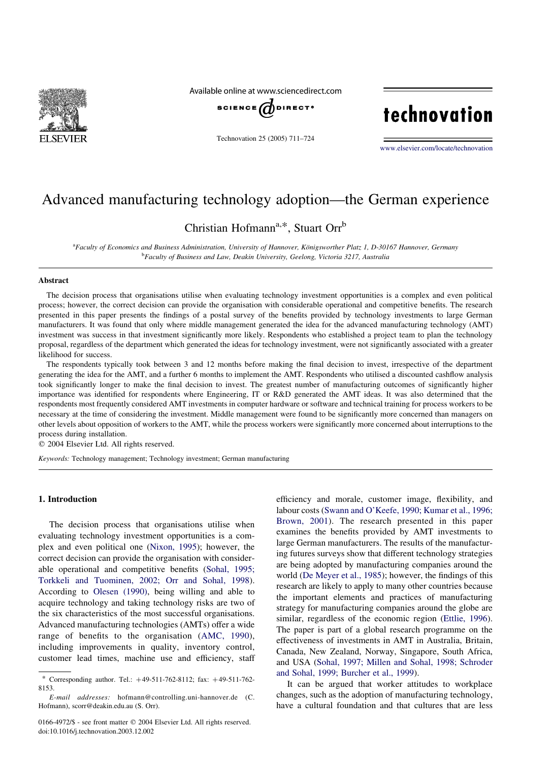

Available online at www.sciencedirect.com



Technovation 25 (2005) 711–724

# technovation

[www.elsevier.com/locate/technovation](http://www.elsevier.com/locate/technovation)

### Advanced manufacturing technology adoption—the German experience

Christian Hofmann<sup>a,\*</sup>, Stuart Orr<sup>b</sup>

a<br>Faculty of Economics and Business Administration, University of Hannover, Königsworther Platz 1, D-30167 Hannover, Germany <sup>b</sup>Faculty of Business and Law, Deakin University, Geelong, Victoria 3217, Australia

#### Abstract

The decision process that organisations utilise when evaluating technology investment opportunities is a complex and even political process; however, the correct decision can provide the organisation with considerable operational and competitive benefits. The research presented in this paper presents the findings of a postal survey of the benefits provided by technology investments to large German manufacturers. It was found that only where middle management generated the idea for the advanced manufacturing technology (AMT) investment was success in that investment significantly more likely. Respondents who established a project team to plan the technology proposal, regardless of the department which generated the ideas for technology investment, were not significantly associated with a greater likelihood for success.

The respondents typically took between 3 and 12 months before making the final decision to invest, irrespective of the department generating the idea for the AMT, and a further 6 months to implement the AMT. Respondents who utilised a discounted cashflow analysis took significantly longer to make the final decision to invest. The greatest number of manufacturing outcomes of significantly higher importance was identified for respondents where Engineering, IT or R&D generated the AMT ideas. It was also determined that the respondents most frequently considered AMT investments in computer hardware or software and technical training for process workers to be necessary at the time of considering the investment. Middle management were found to be significantly more concerned than managers on other levels about opposition of workers to the AMT, while the process workers were significantly more concerned about interruptions to the process during installation.

 $© 2004 Elsevier Ltd. All rights reserved.$ 

Keywords: Technology management; Technology investment; German manufacturing

#### 1. Introduction

The decision process that organisations utilise when evaluating technology investment opportunities is a complex and even political one ([Nixon, 1995\)](#page--1-0); however, the correct decision can provide the organisation with considerable operational and competitive benefits [\(Sohal, 1995;](#page--1-0) [Torkkeli and Tuominen, 2002; Orr and Sohal, 1998\)](#page--1-0). According to [Olesen \(1990\),](#page--1-0) being willing and able to acquire technology and taking technology risks are two of the six characteristics of the most successful organisations. Advanced manufacturing technologies (AMTs) offer a wide range of benefits to the organisation [\(AMC, 1990\)](#page--1-0), including improvements in quality, inventory control, customer lead times, machine use and efficiency, staff efficiency and morale, customer image, flexibility, and labour costs ([Swann and O'Keefe, 1990; Kumar et al., 1996;](#page--1-0) [Brown, 2001](#page--1-0)). The research presented in this paper examines the benefits provided by AMT investments to large German manufacturers. The results of the manufacturing futures surveys show that different technology strategies are being adopted by manufacturing companies around the world ([De Meyer et al., 1985\)](#page--1-0); however, the findings of this research are likely to apply to many other countries because the important elements and practices of manufacturing strategy for manufacturing companies around the globe are similar, regardless of the economic region [\(Ettlie, 1996\)](#page--1-0). The paper is part of a global research programme on the effectiveness of investments in AMT in Australia, Britain, Canada, New Zealand, Norway, Singapore, South Africa, and USA [\(Sohal, 1997; Millen and Sohal, 1998; Schroder](#page--1-0) [and Sohal, 1999; Burcher et al., 1999\)](#page--1-0).

It can be argued that worker attitudes to workplace changes, such as the adoption of manufacturing technology, have a cultural foundation and that cultures that are less

<sup>\*</sup> Corresponding author. Tel.:  $+49-511-762-8112$ ; fax:  $+49-511-762-$ 8153.

E-mail addresses: hofmann@controlling.uni-hannover.de (C. Hofmann), scorr@deakin.edu.au (S. Orr).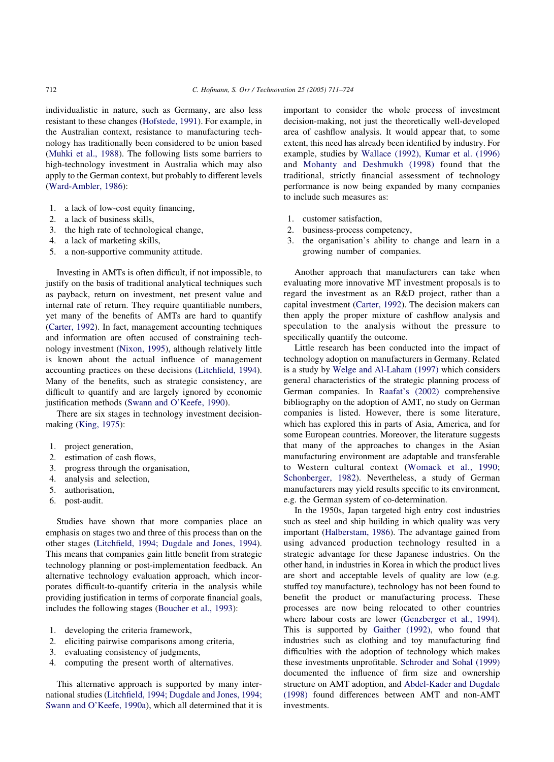individualistic in nature, such as Germany, are also less resistant to these changes ([Hofstede, 1991\)](#page--1-0). For example, in the Australian context, resistance to manufacturing technology has traditionally been considered to be union based ([Muhki et al., 1988](#page--1-0)). The following lists some barriers to high-technology investment in Australia which may also apply to the German context, but probably to different levels ([Ward-Ambler, 1986\)](#page--1-0):

- 1. a lack of low-cost equity financing,
- 2. a lack of business skills,
- 3. the high rate of technological change,
- 4. a lack of marketing skills,
- 5. a non-supportive community attitude.

Investing in AMTs is often difficult, if not impossible, to justify on the basis of traditional analytical techniques such as payback, return on investment, net present value and internal rate of return. They require quantifiable numbers, yet many of the benefits of AMTs are hard to quantify ([Carter, 1992\)](#page--1-0). In fact, management accounting techniques and information are often accused of constraining technology investment [\(Nixon, 1995\)](#page--1-0), although relatively little is known about the actual influence of management accounting practices on these decisions ([Litchfield, 1994\)](#page--1-0). Many of the benefits, such as strategic consistency, are difficult to quantify and are largely ignored by economic justification methods [\(Swann and O'Keefe, 1990\)](#page--1-0).

There are six stages in technology investment decisionmaking ([King, 1975](#page--1-0)):

- 1. project generation,
- 2. estimation of cash flows,
- 3. progress through the organisation,
- 4. analysis and selection,
- 5. authorisation,
- 6. post-audit.

Studies have shown that more companies place an emphasis on stages two and three of this process than on the other stages ([Litchfield, 1994; Dugdale and Jones, 1994\)](#page--1-0). This means that companies gain little benefit from strategic technology planning or post-implementation feedback. An alternative technology evaluation approach, which incorporates difficult-to-quantify criteria in the analysis while providing justification in terms of corporate financial goals, includes the following stages ([Boucher et al., 1993](#page--1-0)):

- 1. developing the criteria framework,
- 2. eliciting pairwise comparisons among criteria,
- 3. evaluating consistency of judgments,
- 4. computing the present worth of alternatives.

This alternative approach is supported by many international studies ([Litchfield, 1994; Dugdale and Jones, 1994;](#page--1-0) [Swann and O'Keefe, 1990a](#page--1-0)), which all determined that it is

important to consider the whole process of investment decision-making, not just the theoretically well-developed area of cashflow analysis. It would appear that, to some extent, this need has already been identified by industry. For example, studies by [Wallace \(1992\), Kumar et al. \(1996\)](#page--1-0) and [Mohanty and Deshmukh \(1998\)](#page--1-0) found that the traditional, strictly financial assessment of technology performance is now being expanded by many companies to include such measures as:

- 1. customer satisfaction,
- 2. business-process competency,
- 3. the organisation's ability to change and learn in a growing number of companies.

Another approach that manufacturers can take when evaluating more innovative MT investment proposals is to regard the investment as an R&D project, rather than a capital investment [\(Carter, 1992\)](#page--1-0). The decision makers can then apply the proper mixture of cashflow analysis and speculation to the analysis without the pressure to specifically quantify the outcome.

Little research has been conducted into the impact of technology adoption on manufacturers in Germany. Related is a study by [Welge and Al-Laham \(1997\)](#page--1-0) which considers general characteristics of the strategic planning process of German companies. In [Raafat's \(2002\)](#page--1-0) comprehensive bibliography on the adoption of AMT, no study on German companies is listed. However, there is some literature, which has explored this in parts of Asia, America, and for some European countries. Moreover, the literature suggests that many of the approaches to changes in the Asian manufacturing environment are adaptable and transferable to Western cultural context ([Womack et al., 1990;](#page--1-0) [Schonberger, 1982\)](#page--1-0). Nevertheless, a study of German manufacturers may yield results specific to its environment, e.g. the German system of co-determination.

In the 1950s, Japan targeted high entry cost industries such as steel and ship building in which quality was very important [\(Halberstam, 1986](#page--1-0)). The advantage gained from using advanced production technology resulted in a strategic advantage for these Japanese industries. On the other hand, in industries in Korea in which the product lives are short and acceptable levels of quality are low (e.g. stuffed toy manufacture), technology has not been found to benefit the product or manufacturing process. These processes are now being relocated to other countries where labour costs are lower [\(Genzberger et al., 1994\)](#page--1-0). This is supported by [Gaither \(1992\),](#page--1-0) who found that industries such as clothing and toy manufacturing find difficulties with the adoption of technology which makes these investments unprofitable. [Schroder and Sohal \(1999\)](#page--1-0) documented the influence of firm size and ownership structure on AMT adoption, and [Abdel-Kader and Dugdale](#page--1-0) [\(1998\)](#page--1-0) found differences between AMT and non-AMT investments.